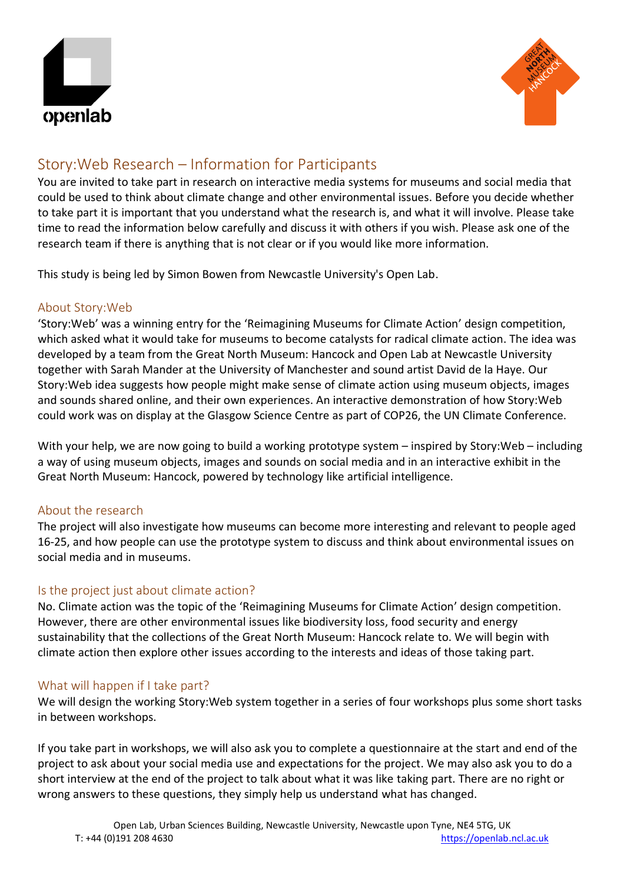



# Story:Web Research – Information for Participants

You are invited to take part in research on interactive media systems for museums and social media that could be used to think about climate change and other environmental issues. Before you decide whether to take part it is important that you understand what the research is, and what it will involve. Please take time to read the information below carefully and discuss it with others if you wish. Please ask one of the research team if there is anything that is not clear or if you would like more information.

This study is being led by Simon Bowen from Newcastle University's Open Lab.

## About Story:Web

'Story:Web' was a winning entry for the 'Reimagining Museums for Climate Action' design competition, which asked what it would take for museums to become catalysts for radical climate action. The idea was developed by a team from the Great North Museum: Hancock and Open Lab at Newcastle University together with Sarah Mander at the University of Manchester and sound artist David de la Haye. Our Story:Web idea suggests how people might make sense of climate action using museum objects, images and sounds shared online, and their own experiences. An interactive demonstration of how Story:Web could work was on display at the Glasgow Science Centre as part of COP26, the UN Climate Conference.

With your help, we are now going to build a working prototype system – inspired by Story:Web – including a way of using museum objects, images and sounds on social media and in an interactive exhibit in the Great North Museum: Hancock, powered by technology like artificial intelligence.

## About the research

The project will also investigate how museums can become more interesting and relevant to people aged 16-25, and how people can use the prototype system to discuss and think about environmental issues on social media and in museums.

# Is the project just about climate action?

No. Climate action was the topic of the 'Reimagining Museums for Climate Action' design competition. However, there are other environmental issues like biodiversity loss, food security and energy sustainability that the collections of the Great North Museum: Hancock relate to. We will begin with climate action then explore other issues according to the interests and ideas of those taking part.

## What will happen if I take part?

We will design the working Story:Web system together in a series of four workshops plus some short tasks in between workshops.

If you take part in workshops, we will also ask you to complete a questionnaire at the start and end of the project to ask about your social media use and expectations for the project. We may also ask you to do a short interview at the end of the project to talk about what it was like taking part. There are no right or wrong answers to these questions, they simply help us understand what has changed.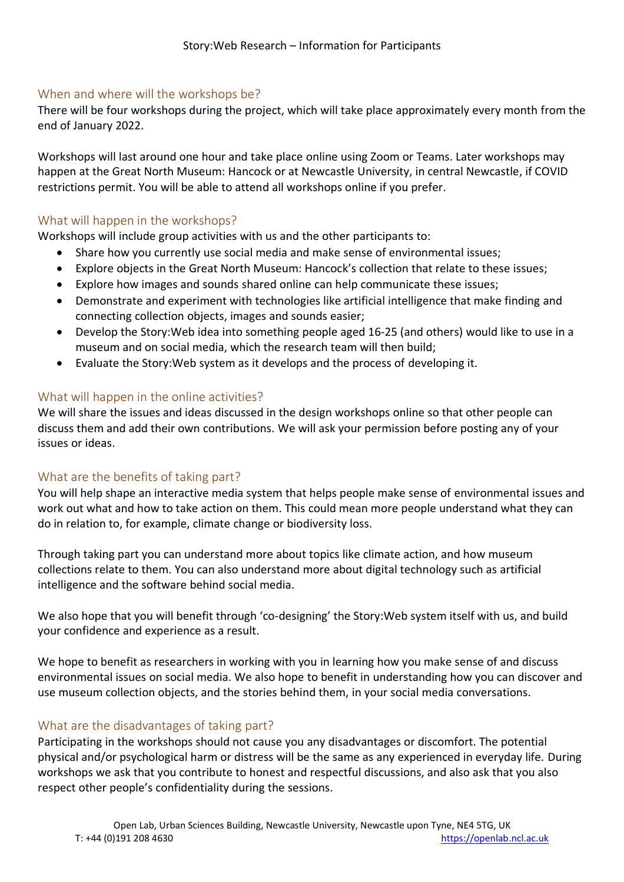## When and where will the workshops be?

There will be four workshops during the project, which will take place approximately every month from the end of January 2022.

Workshops will last around one hour and take place online using Zoom or Teams. Later workshops may happen at the Great North Museum: Hancock or at Newcastle University, in central Newcastle, if COVID restrictions permit. You will be able to attend all workshops online if you prefer.

## What will happen in the workshops?

Workshops will include group activities with us and the other participants to:

- Share how you currently use social media and make sense of environmental issues;
- Explore objects in the Great North Museum: Hancock's collection that relate to these issues;
- Explore how images and sounds shared online can help communicate these issues;
- Demonstrate and experiment with technologies like artificial intelligence that make finding and connecting collection objects, images and sounds easier;
- Develop the Story:Web idea into something people aged 16-25 (and others) would like to use in a museum and on social media, which the research team will then build;
- Evaluate the Story:Web system as it develops and the process of developing it.

## What will happen in the online activities?

We will share the issues and ideas discussed in the design workshops online so that other people can discuss them and add their own contributions. We will ask your permission before posting any of your issues or ideas.

## What are the benefits of taking part?

You will help shape an interactive media system that helps people make sense of environmental issues and work out what and how to take action on them. This could mean more people understand what they can do in relation to, for example, climate change or biodiversity loss.

Through taking part you can understand more about topics like climate action, and how museum collections relate to them. You can also understand more about digital technology such as artificial intelligence and the software behind social media.

We also hope that you will benefit through 'co-designing' the Story:Web system itself with us, and build your confidence and experience as a result.

We hope to benefit as researchers in working with you in learning how you make sense of and discuss environmental issues on social media. We also hope to benefit in understanding how you can discover and use museum collection objects, and the stories behind them, in your social media conversations.

# What are the disadvantages of taking part?

Participating in the workshops should not cause you any disadvantages or discomfort. The potential physical and/or psychological harm or distress will be the same as any experienced in everyday life. During workshops we ask that you contribute to honest and respectful discussions, and also ask that you also respect other people's confidentiality during the sessions.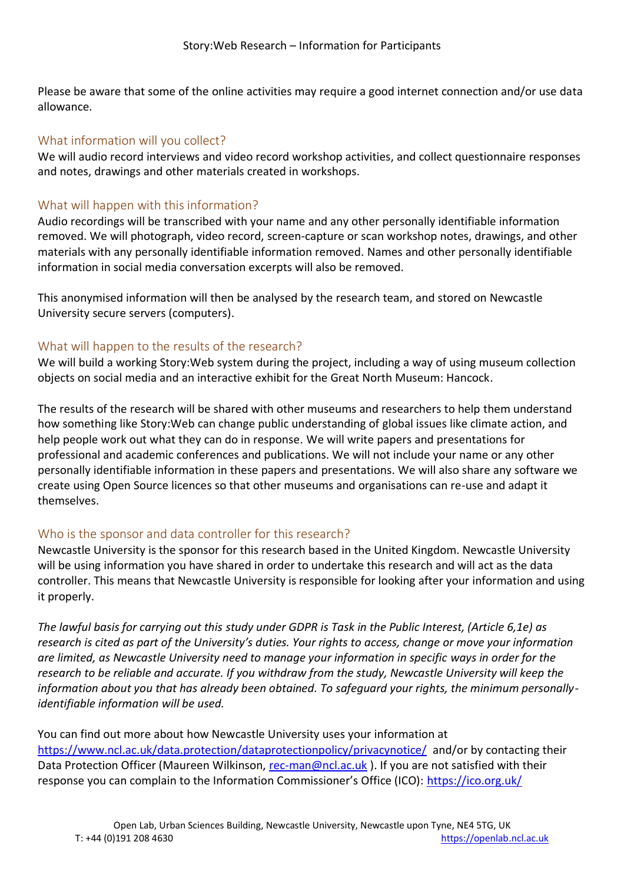Please be aware that some of the online activities may require a good internet connection and/or use data allowance.

## What information will you collect?

We will audio record interviews and video record workshop activities, and collect questionnaire responses and notes, drawings and other materials created in workshops.

## What will happen with this information?

Audio recordings will be transcribed with your name and any other personally identifiable information removed. We will photograph, video record, screen-capture or scan workshop notes, drawings, and other materials with any personally identifiable information removed. Names and other personally identifiable information in social media conversation excerpts will also be removed.

This anonymised information will then be analysed by the research team, and stored on Newcastle University secure servers (computers).

# What will happen to the results of the research?

We will build a working Story:Web system during the project, including a way of using museum collection objects on social media and an interactive exhibit for the Great North Museum: Hancock.

The results of the research will be shared with other museums and researchers to help them understand how something like Story:Web can change public understanding of global issues like climate action, and help people work out what they can do in response. We will write papers and presentations for professional and academic conferences and publications. We will not include your name or any other personally identifiable information in these papers and presentations. We will also share any software we create using Open Source licences so that other museums and organisations can re-use and adapt it themselves.

## Who is the sponsor and data controller for this research?

Newcastle University is the sponsor for this research based in the United Kingdom. Newcastle University will be using information you have shared in order to undertake this research and will act as the data controller. This means that Newcastle University is responsible for looking after your information and using it properly.

*The lawful basis for carrying out this study under GDPR is Task in the Public Interest, (Article 6,1e) as research is cited as part of the University's duties. Your rights to access, change or move your information are limited, as Newcastle University need to manage your information in specific ways in order for the research to be reliable and accurate. If you withdraw from the study, Newcastle University will keep the information about you that has already been obtained. To safeguard your rights, the minimum personallyidentifiable information will be used.*

You can find out more about how Newcastle University uses your information at <https://www.ncl.ac.uk/data.protection/dataprotectionpolicy/privacynotice/> and/or by contacting their Data Protection Officer (Maureen Wilkinson, [rec-man@ncl.ac.uk](mailto:rec-man@ncl.ac.uk)). If you are not satisfied with their response you can complain to the Information Commissioner's Office (ICO): <https://ico.org.uk/>